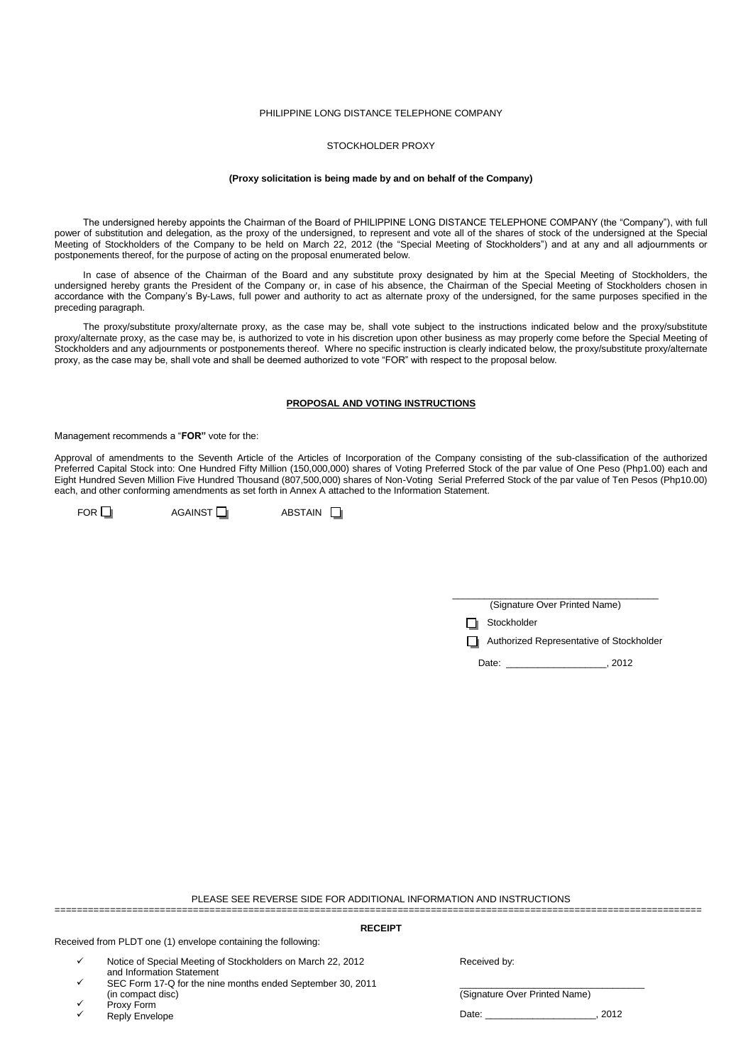## PHILIPPINE LONG DISTANCE TELEPHONE COMPANY

# STOCKHOLDER PROXY

### **(Proxy solicitation is being made by and on behalf of the Company)**

The undersigned hereby appoints the Chairman of the Board of PHILIPPINE LONG DISTANCE TELEPHONE COMPANY (the "Company"), with full power of substitution and delegation, as the proxy of the undersigned, to represent and vote all of the shares of stock of the undersigned at the Special Meeting of Stockholders of the Company to be held on March 22, 2012 (the "Special Meeting of Stockholders") and at any and all adjournments or postponements thereof, for the purpose of acting on the proposal enumerated below.

In case of absence of the Chairman of the Board and any substitute proxy designated by him at the Special Meeting of Stockholders, the undersigned hereby grants the President of the Company or, in case of his absence, the Chairman of the Special Meeting of Stockholders chosen in accordance with the Company's By-Laws, full power and authority to act as alternate proxy of the undersigned, for the same purposes specified in the preceding paragraph.

The proxy/substitute proxy/alternate proxy, as the case may be, shall vote subject to the instructions indicated below and the proxy/substitute proxy/alternate proxy, as the case may be, is authorized to vote in his discretion upon other business as may properly come before the Special Meeting of Stockholders and any adjournments or postponements thereof. Where no specific instruction is clearly indicated below, the proxy/substitute proxy/alternate proxy, as the case may be, shall vote and shall be deemed authorized to vote "FOR" with respect to the proposal below.

# **PROPOSAL AND VOTING INSTRUCTIONS**

Management recommends a "**FOR"** vote for the:

Approval of amendments to the Seventh Article of the Articles of Incorporation of the Company consisting of the sub-classification of the authorized Preferred Capital Stock into: One Hundred Fifty Million (150,000,000) shares of Voting Preferred Stock of the par value of One Peso (Php1.00) each and Eight Hundred Seven Million Five Hundred Thousand (807,500,000) shares of Non-Voting Serial Preferred Stock of the par value of Ten Pesos (Php10.00) each, and other conforming amendments as set forth in Annex A attached to the Information Statement.

 $FOR \Box$  AGAINST  $\Box$  ABSTAIN  $\Box$ 

| (Signature Over Printed Name) |
|-------------------------------|

Stockholder

**Authorized Representative of Stockholder** 

Date: \_\_\_\_\_\_\_\_\_\_\_\_\_\_\_\_\_\_\_, 2012

PLEASE SEE REVERSE SIDE FOR ADDITIONAL INFORMATION AND INSTRUCTIONS =====================================================================================================================

#### **RECEIPT**

Received from PLDT one (1) envelope containing the following:

- $\checkmark$ Notice of Special Meeting of Stockholders on March 22, 2012 and Information Statement
- $\checkmark$ SEC Form 17-Q for the nine months ended September 30, 2011 (in compact disc)
- $\checkmark$ Proxy Form
- $\checkmark$ Reply Envelope

Received by:

 $\overline{\phantom{a}}$  , and the set of the set of the set of the set of the set of the set of the set of the set of the set of the set of the set of the set of the set of the set of the set of the set of the set of the set of the s (Signature Over Printed Name)

Date: \_\_\_\_\_\_\_\_\_\_\_\_\_\_\_\_\_\_\_\_\_, 2012